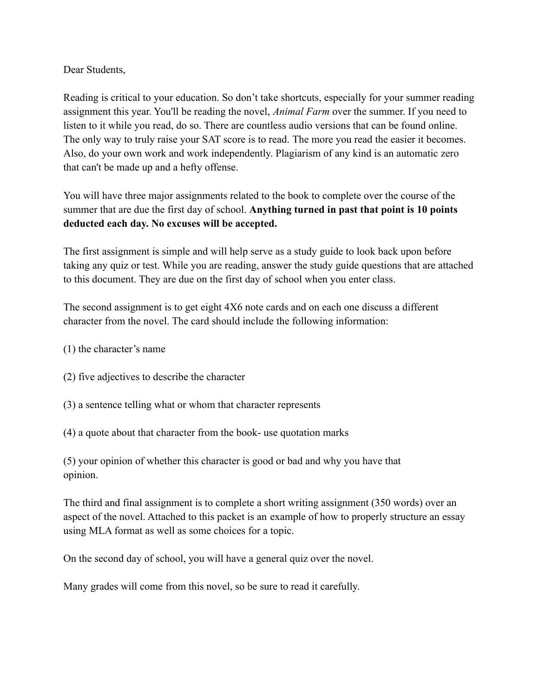# Dear Students,

Reading is critical to your education. So don't take shortcuts, especially for your summer reading assignment this year. You'll be reading the novel, *Animal Farm* over the summer. If you need to listen to it while you read, do so. There are countless audio versions that can be found online. The only way to truly raise your SAT score is to read. The more you read the easier it becomes. Also, do your own work and work independently. Plagiarism of any kind is an automatic zero that can't be made up and a hefty offense.

You will have three major assignments related to the book to complete over the course of the summer that are due the first day of school. **Anything turned in past that point is 10 points deducted each day. No excuses will be accepted.**

The first assignment is simple and will help serve as a study guide to look back upon before taking any quiz or test. While you are reading, answer the study guide questions that are attached to this document. They are due on the first day of school when you enter class.

The second assignment is to get eight 4X6 note cards and on each one discuss a different character from the novel. The card should include the following information:

- (1) the character's name
- (2) five adjectives to describe the character
- (3) a sentence telling what or whom that character represents
- (4) a quote about that character from the book- use quotation marks

(5) your opinion of whether this character is good or bad and why you have that opinion.

The third and final assignment is to complete a short writing assignment (350 words) over an aspect of the novel. Attached to this packet is an example of how to properly structure an essay using MLA format as well as some choices for a topic.

On the second day of school, you will have a general quiz over the novel.

Many grades will come from this novel, so be sure to read it carefully.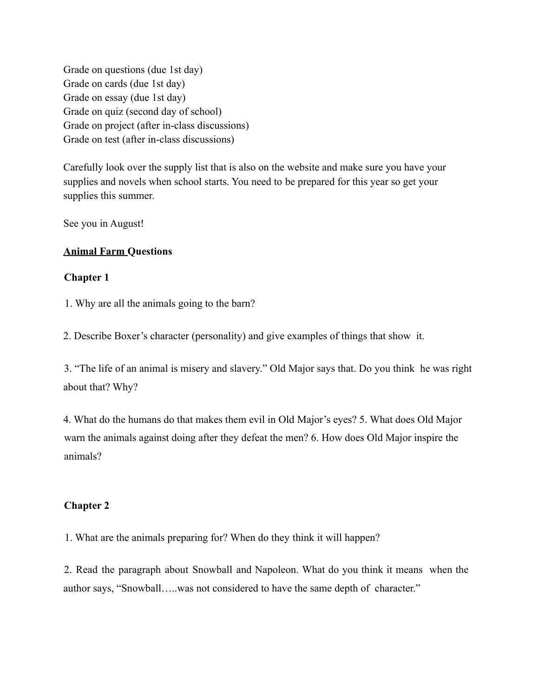Grade on questions (due 1st day) Grade on cards (due 1st day) Grade on essay (due 1st day) Grade on quiz (second day of school) Grade on project (after in-class discussions) Grade on test (after in-class discussions)

Carefully look over the supply list that is also on the website and make sure you have your supplies and novels when school starts. You need to be prepared for this year so get your supplies this summer.

See you in August!

# **Animal Farm Questions**

# **Chapter 1**

1. Why are all the animals going to the barn?

2. Describe Boxer's character (personality) and give examples of things that show it.

3. "The life of an animal is misery and slavery." Old Major says that. Do you think he was right about that? Why?

4. What do the humans do that makes them evil in Old Major's eyes? 5. What does Old Major warn the animals against doing after they defeat the men? 6. How does Old Major inspire the animals?

# **Chapter 2**

1. What are the animals preparing for? When do they think it will happen?

2. Read the paragraph about Snowball and Napoleon. What do you think it means when the author says, "Snowball…..was not considered to have the same depth of character."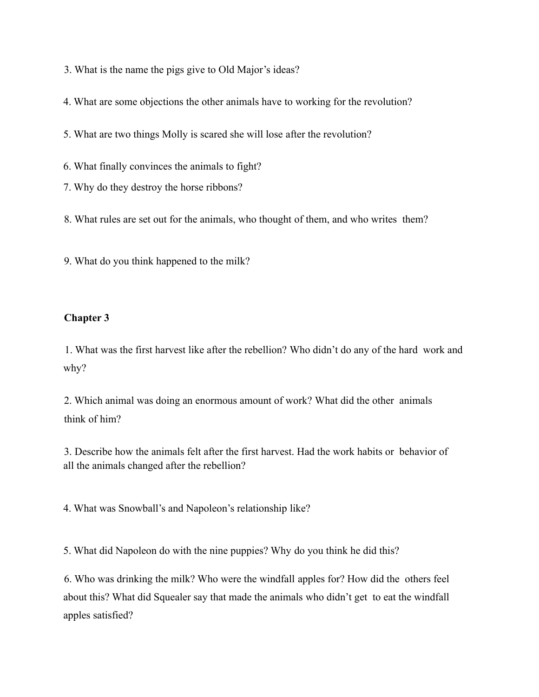- 3. What is the name the pigs give to Old Major's ideas?
- 4. What are some objections the other animals have to working for the revolution?
- 5. What are two things Molly is scared she will lose after the revolution?
- 6. What finally convinces the animals to fight?
- 7. Why do they destroy the horse ribbons?
- 8. What rules are set out for the animals, who thought of them, and who writes them?
- 9. What do you think happened to the milk?

## **Chapter 3**

1. What was the first harvest like after the rebellion? Who didn't do any of the hard work and why?

2. Which animal was doing an enormous amount of work? What did the other animals think of him?

3. Describe how the animals felt after the first harvest. Had the work habits or behavior of all the animals changed after the rebellion?

4. What was Snowball's and Napoleon's relationship like?

5. What did Napoleon do with the nine puppies? Why do you think he did this?

6. Who was drinking the milk? Who were the windfall apples for? How did the others feel about this? What did Squealer say that made the animals who didn't get to eat the windfall apples satisfied?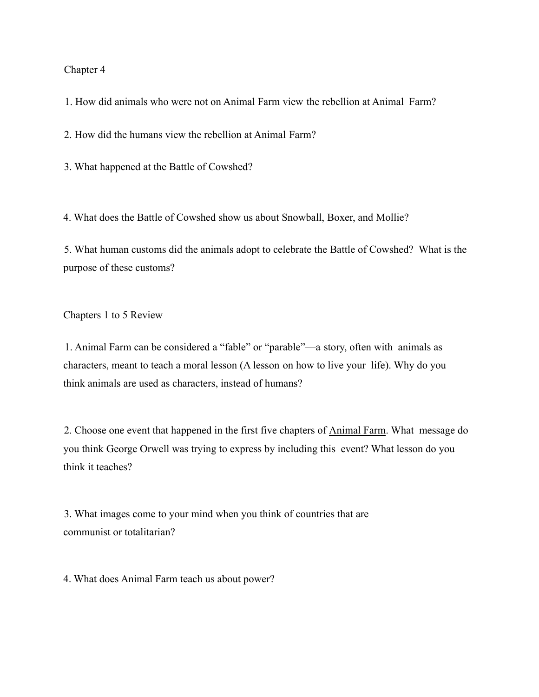#### Chapter 4

1. How did animals who were not on Animal Farm view the rebellion at Animal Farm?

2. How did the humans view the rebellion at Animal Farm?

3. What happened at the Battle of Cowshed?

4. What does the Battle of Cowshed show us about Snowball, Boxer, and Mollie?

5. What human customs did the animals adopt to celebrate the Battle of Cowshed? What is the purpose of these customs?

Chapters 1 to 5 Review

1. Animal Farm can be considered a "fable" or "parable"—a story, often with animals as characters, meant to teach a moral lesson (A lesson on how to live your life). Why do you think animals are used as characters, instead of humans?

2. Choose one event that happened in the first five chapters of Animal Farm. What message do you think George Orwell was trying to express by including this event? What lesson do you think it teaches?

3. What images come to your mind when you think of countries that are communist or totalitarian?

4. What does Animal Farm teach us about power?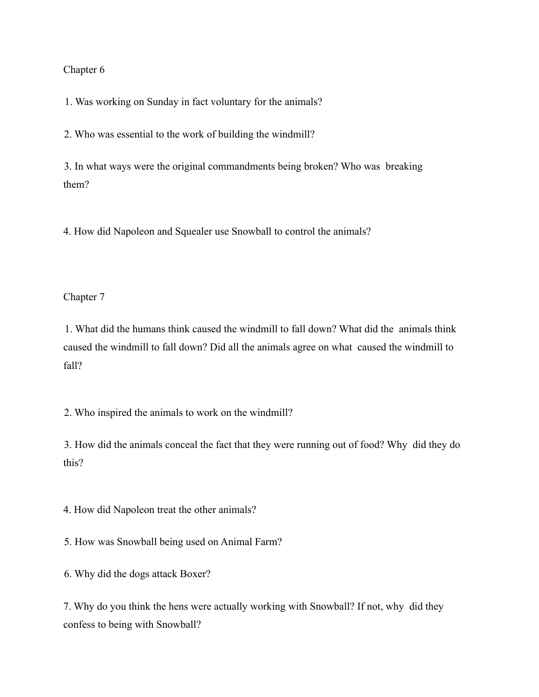## Chapter 6

1. Was working on Sunday in fact voluntary for the animals?

2. Who was essential to the work of building the windmill?

3. In what ways were the original commandments being broken? Who was breaking them?

4. How did Napoleon and Squealer use Snowball to control the animals?

Chapter 7

1. What did the humans think caused the windmill to fall down? What did the animals think caused the windmill to fall down? Did all the animals agree on what caused the windmill to fall?

2. Who inspired the animals to work on the windmill?

3. How did the animals conceal the fact that they were running out of food? Why did they do this?

4. How did Napoleon treat the other animals?

5. How was Snowball being used on Animal Farm?

6. Why did the dogs attack Boxer?

7. Why do you think the hens were actually working with Snowball? If not, why did they confess to being with Snowball?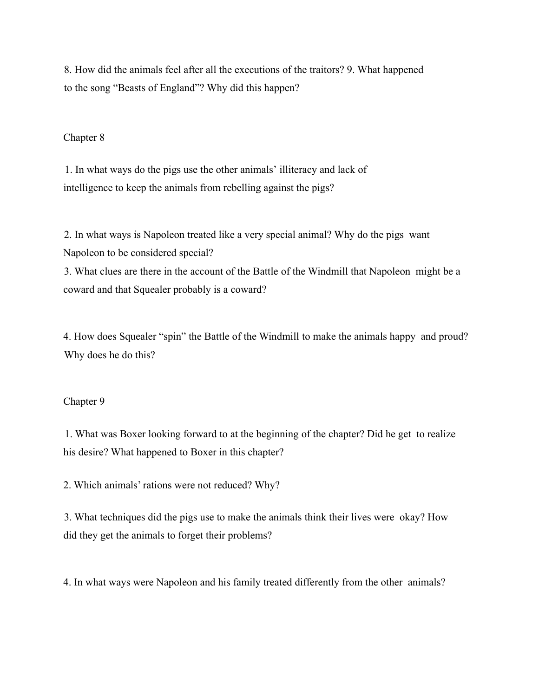8. How did the animals feel after all the executions of the traitors? 9. What happened to the song "Beasts of England"? Why did this happen?

#### Chapter 8

1. In what ways do the pigs use the other animals' illiteracy and lack of intelligence to keep the animals from rebelling against the pigs?

2. In what ways is Napoleon treated like a very special animal? Why do the pigs want Napoleon to be considered special?

3. What clues are there in the account of the Battle of the Windmill that Napoleon might be a coward and that Squealer probably is a coward?

4. How does Squealer "spin" the Battle of the Windmill to make the animals happy and proud? Why does he do this?

## Chapter 9

1. What was Boxer looking forward to at the beginning of the chapter? Did he get to realize his desire? What happened to Boxer in this chapter?

2. Which animals' rations were not reduced? Why?

3. What techniques did the pigs use to make the animals think their lives were okay? How did they get the animals to forget their problems?

4. In what ways were Napoleon and his family treated differently from the other animals?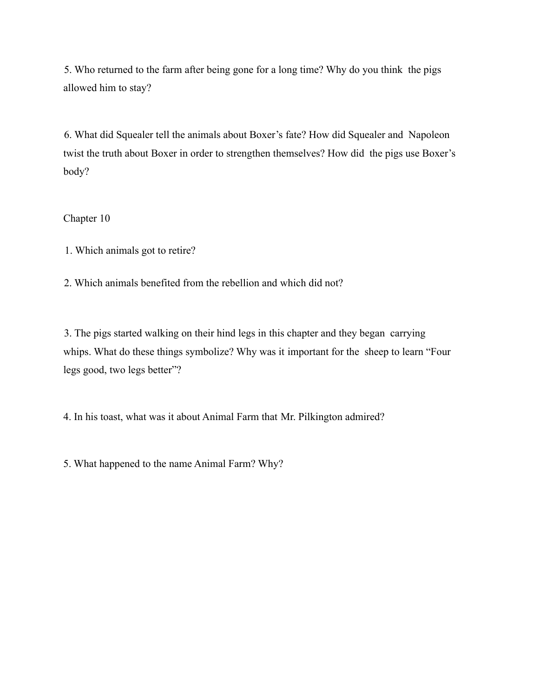5. Who returned to the farm after being gone for a long time? Why do you think the pigs allowed him to stay?

6. What did Squealer tell the animals about Boxer's fate? How did Squealer and Napoleon twist the truth about Boxer in order to strengthen themselves? How did the pigs use Boxer's body?

Chapter 10

1. Which animals got to retire?

2. Which animals benefited from the rebellion and which did not?

3. The pigs started walking on their hind legs in this chapter and they began carrying whips. What do these things symbolize? Why was it important for the sheep to learn "Four legs good, two legs better"?

4. In his toast, what was it about Animal Farm that Mr. Pilkington admired?

5. What happened to the name Animal Farm? Why?